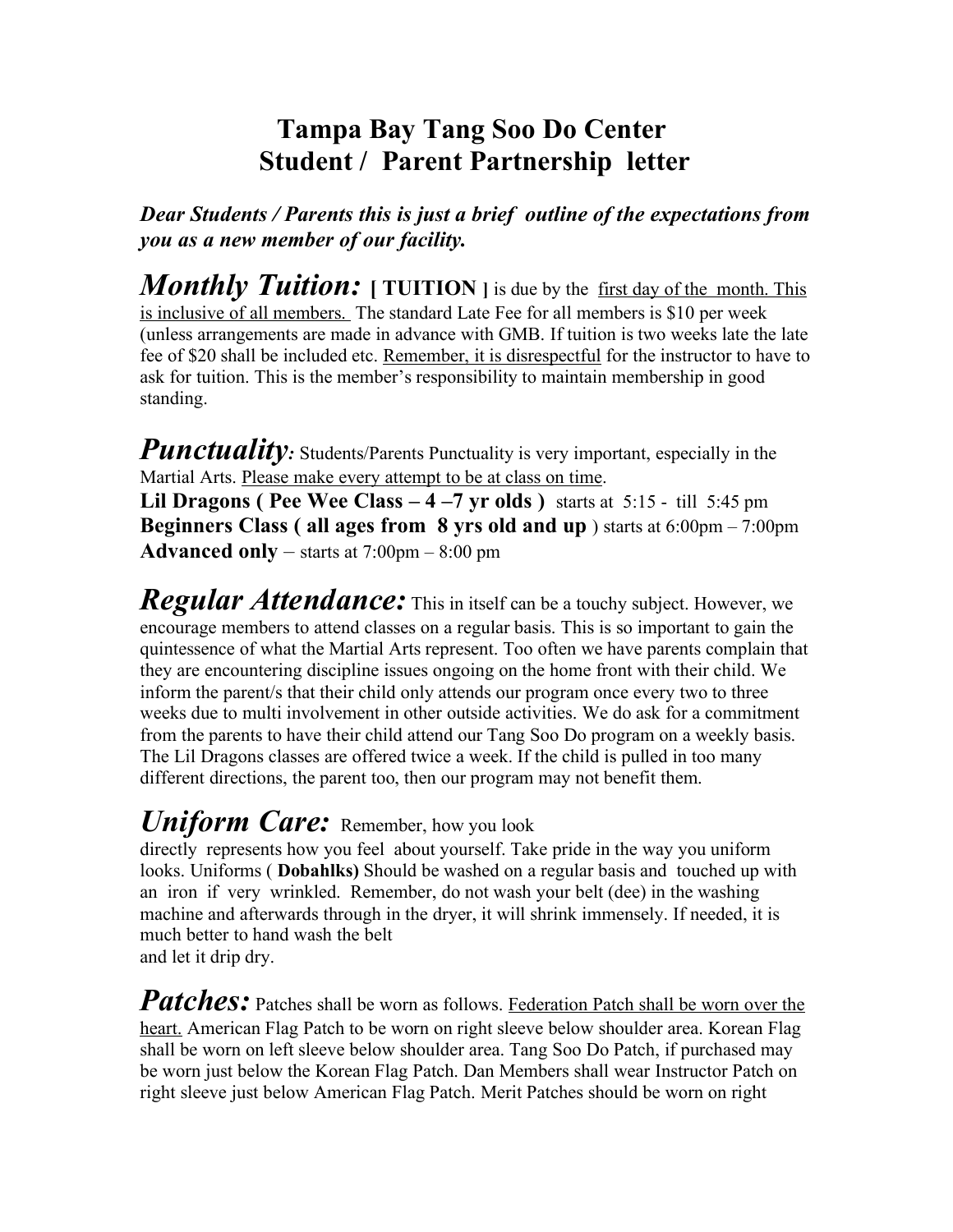## **Tampa Bay Tang Soo Do Center Student / Parent Partnership letter**

*Dear Students / Parents this is just a brief outline of the expectations from you as a new member of our facility.*

*Monthly Tuition:* [ TUITION ] is due by the first day of the month. This is inclusive of all members. The standard Late Fee for all members is \$10 per week (unless arrangements are made in advance with GMB. If tuition is two weeks late the late fee of \$20 shall be included etc. Remember, it is disrespectful for the instructor to have to ask for tuition. This is the member's responsibility to maintain membership in good standing.

*Punctuality:* Students/Parents Punctuality is very important, especially in the Martial Arts. Please make every attempt to be at class on time.

**Lil Dragons ( Pee Wee Class – 4 –7 yr olds )** starts at 5:15 - till 5:45 pm **Beginners Class ( all ages from 8 yrs old and up** ) starts at 6:00pm – 7:00pm **Advanced only** – starts at 7:00pm – 8:00 pm

*Regular Attendance:* This in itself can be a touchy subject. However, we encourage members to attend classes on a regular basis. This is so important to gain the quintessence of what the Martial Arts represent. Too often we have parents complain that they are encountering discipline issues ongoing on the home front with their child. We inform the parent/s that their child only attends our program once every two to three weeks due to multi involvement in other outside activities. We do ask for a commitment from the parents to have their child attend our Tang Soo Do program on a weekly basis. The Lil Dragons classes are offered twice a week. If the child is pulled in too many different directions, the parent too, then our program may not benefit them.

## *Uniform Care:*Remember, how you look

directly represents how you feel about yourself. Take pride in the way you uniform looks. Uniforms ( **Dobahlks)** Should be washed on a regular basis and touched up with an iron if very wrinkled. Remember, do not wash your belt (dee) in the washing machine and afterwards through in the dryer, it will shrink immensely. If needed, it is much better to hand wash the belt and let it drip dry.

Patches: Patches shall be worn as follows. **Federation Patch shall be worn over the** heart. American Flag Patch to be worn on right sleeve below shoulder area. Korean Flag shall be worn on left sleeve below shoulder area. Tang Soo Do Patch, if purchased may be worn just below the Korean Flag Patch. Dan Members shall wear Instructor Patch on right sleeve just below American Flag Patch. Merit Patches should be worn on right